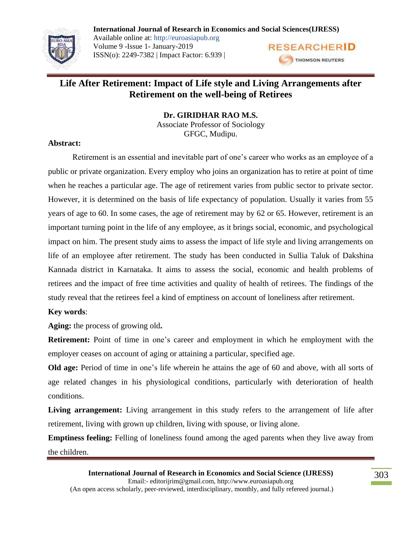

**International Journal of Research in Economics and Social Sciences(IJRESS)** Available online at: http://euroasiapub.org Volume 9 -Issue 1- January-2019 **RESEARCHERID** ISSN(o): 2249-7382 | Impact Factor: 6.939 | THOMSON REUTERS

# **Life After Retirement: Impact of Life style and Living Arrangements after Retirement on the well-being of Retirees**

**Dr. GIRIDHAR RAO M.S.**

Associate Professor of Sociology GFGC, Mudipu.

## **Abstract:**

Retirement is an essential and inevitable part of one's career who works as an employee of a public or private organization. Every employ who joins an organization has to retire at point of time when he reaches a particular age. The age of retirement varies from public sector to private sector. However, it is determined on the basis of life expectancy of population. Usually it varies from 55 years of age to 60. In some cases, the age of retirement may by 62 or 65. However, retirement is an important turning point in the life of any employee, as it brings social, economic, and psychological impact on him. The present study aims to assess the impact of life style and living arrangements on life of an employee after retirement. The study has been conducted in Sullia Taluk of Dakshina Kannada district in Karnataka. It aims to assess the social, economic and health problems of retirees and the impact of free time activities and quality of health of retirees. The findings of the study reveal that the retirees feel a kind of emptiness on account of loneliness after retirement.

# **Key words**:

**Aging:** the process of growing old**.**

**Retirement:** Point of time in one's career and employment in which he employment with the employer ceases on account of aging or attaining a particular, specified age.

**Old age:** Period of time in one's life wherein he attains the age of 60 and above, with all sorts of age related changes in his physiological conditions, particularly with deterioration of health conditions.

Living arrangement: Living arrangement in this study refers to the arrangement of life after retirement, living with grown up children, living with spouse, or living alone.

**Emptiness feeling:** Felling of loneliness found among the aged parents when they live away from the children.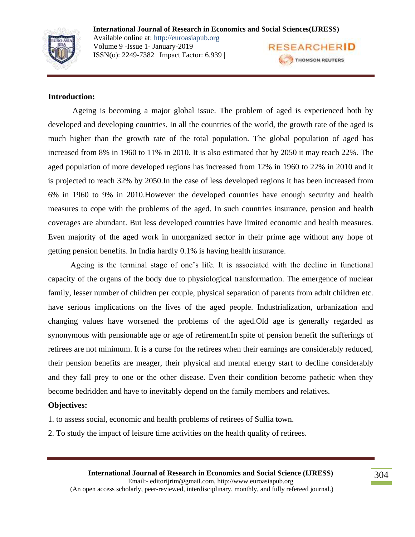

#### **Introduction:**

Ageing is becoming a major global issue. The problem of aged is experienced both by developed and developing countries. In all the countries of the world, the growth rate of the aged is much higher than the growth rate of the total population. The global population of aged has increased from 8% in 1960 to 11% in 2010. It is also estimated that by 2050 it may reach 22%. The aged population of more developed regions has increased from 12% in 1960 to 22% in 2010 and it is projected to reach 32% by 2050.In the case of less developed regions it has been increased from 6% in 1960 to 9% in 2010.However the developed countries have enough security and health measures to cope with the problems of the aged. In such countries insurance, pension and health coverages are abundant. But less developed countries have limited economic and health measures. Even majority of the aged work in unorganized sector in their prime age without any hope of getting pension benefits. In India hardly 0.1% is having health insurance.

 Ageing is the terminal stage of one's life. It is associated with the decline in functional capacity of the organs of the body due to physiological transformation. The emergence of nuclear family, lesser number of children per couple, physical separation of parents from adult children etc. have serious implications on the lives of the aged people. Industrialization, urbanization and changing values have worsened the problems of the aged.Old age is generally regarded as synonymous with pensionable age or age of retirement.In spite of pension benefit the sufferings of retirees are not minimum. It is a curse for the retirees when their earnings are considerably reduced, their pension benefits are meager, their physical and mental energy start to decline considerably and they fall prey to one or the other disease. Even their condition become pathetic when they become bedridden and have to inevitably depend on the family members and relatives.

### **Objectives:**

- 1. to assess social, economic and health problems of retirees of Sullia town.
- 2. To study the impact of leisure time activities on the health quality of retirees.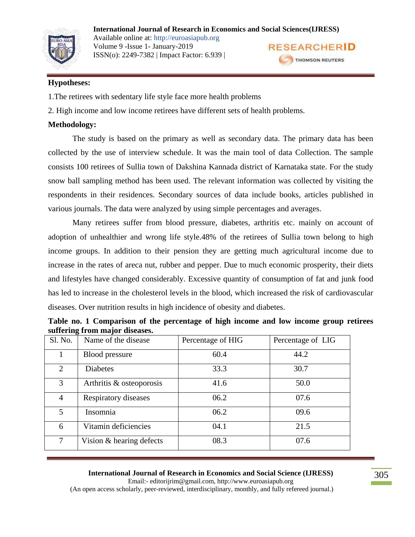#### **International Journal of Research in Economics and Social Sciences(IJRESS)**



Available online at: http://euroasiapub.org Volume 9 -Issue 1- January-2019 ISSN(o): 2249-7382 | Impact Factor: 6.939 |



## **Hypotheses:**

- 1.The retirees with sedentary life style face more health problems
- 2. High income and low income retirees have different sets of health problems.

# **Methodology:**

The study is based on the primary as well as secondary data. The primary data has been collected by the use of interview schedule. It was the main tool of data Collection. The sample consists 100 retirees of Sullia town of Dakshina Kannada district of Karnataka state. For the study snow ball sampling method has been used. The relevant information was collected by visiting the respondents in their residences. Secondary sources of data include books, articles published in various journals. The data were analyzed by using simple percentages and averages.

Many retirees suffer from blood pressure, diabetes, arthritis etc. mainly on account of adoption of unhealthier and wrong life style.48% of the retirees of Sullia town belong to high income groups. In addition to their pension they are getting much agricultural income due to increase in the rates of areca nut, rubber and pepper. Due to much economic prosperity, their diets and lifestyles have changed considerably. Excessive quantity of consumption of fat and junk food has led to increase in the cholesterol levels in the blood, which increased the risk of cardiovascular diseases. Over nutrition results in high incidence of obesity and diabetes.

| Table no. 1 Comparison of the percentage of high income and low income group retirees |                   |  |                                           |  |
|---------------------------------------------------------------------------------------|-------------------|--|-------------------------------------------|--|
| suffering from major diseases.                                                        |                   |  |                                           |  |
| $\Omega_{\rm M_2}$ Name of the disease                                                | Percentage of HIG |  | $\overline{P}_{\text{percentone of IIG}}$ |  |

| Sl. No.                     | Name of the disease      | Percentage of HIG | Percentage of LIG |
|-----------------------------|--------------------------|-------------------|-------------------|
|                             | <b>Blood</b> pressure    | 60.4              | 44.2              |
| $\mathcal{D}_{\mathcal{L}}$ | <b>Diabetes</b>          | 33.3              | 30.7              |
| 3                           | Arthritis & osteoporosis | 41.6              | 50.0              |
| 4                           | Respiratory diseases     | 06.2              | 07.6              |
| 5                           | Insomnia                 | 06.2              | 09.6              |
| 6                           | Vitamin deficiencies     | 04.1              | 21.5              |
| 7                           | Vision & hearing defects | 08.3              | 07.6              |

#### **International Journal of Research in Economics and Social Science (IJRESS)**

Email:- editorijrim@gmail.com, http://www.euroasiapub.org (An open access scholarly, peer-reviewed, interdisciplinary, monthly, and fully refereed journal.)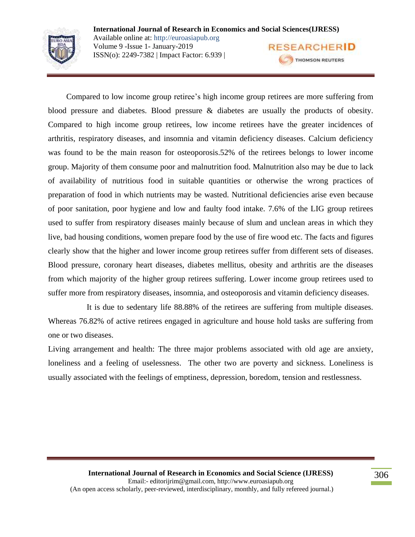

 Compared to low income group retiree's high income group retirees are more suffering from blood pressure and diabetes. Blood pressure & diabetes are usually the products of obesity. Compared to high income group retirees, low income retirees have the greater incidences of arthritis, respiratory diseases, and insomnia and vitamin deficiency diseases. Calcium deficiency was found to be the main reason for osteoporosis.52% of the retirees belongs to lower income group. Majority of them consume poor and malnutrition food. Malnutrition also may be due to lack of availability of nutritious food in suitable quantities or otherwise the wrong practices of preparation of food in which nutrients may be wasted. Nutritional deficiencies arise even because of poor sanitation, poor hygiene and low and faulty food intake. 7.6% of the LIG group retirees used to suffer from respiratory diseases mainly because of slum and unclean areas in which they live, bad housing conditions, women prepare food by the use of fire wood etc. The facts and figures clearly show that the higher and lower income group retirees suffer from different sets of diseases. Blood pressure, coronary heart diseases, diabetes mellitus, obesity and arthritis are the diseases from which majority of the higher group retirees suffering. Lower income group retirees used to suffer more from respiratory diseases, insomnia, and osteoporosis and vitamin deficiency diseases.

 It is due to sedentary life 88.88% of the retirees are suffering from multiple diseases. Whereas 76.82% of active retirees engaged in agriculture and house hold tasks are suffering from one or two diseases.

Living arrangement and health: The three major problems associated with old age are anxiety, loneliness and a feeling of uselessness. The other two are poverty and sickness. Loneliness is usually associated with the feelings of emptiness, depression, boredom, tension and restlessness.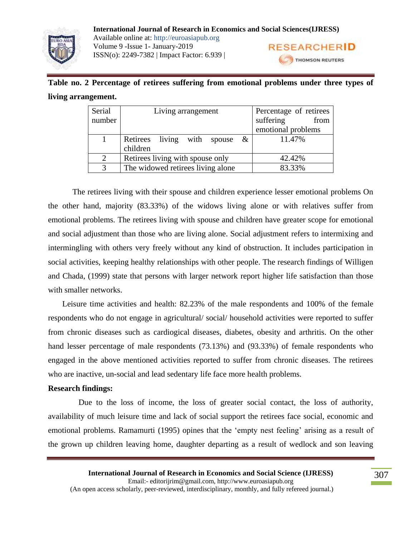**International Journal of Research in Economics and Social Sciences(IJRESS)** Available online at: http://euroasiapub.org Volume 9 -Issue 1- January-2019 ISSN(o): 2249-7382 | Impact Factor: 6.939 |

**RESEARCHERID** THOMSON REUTERS

# **Table no. 2 Percentage of retirees suffering from emotional problems under three types of living arrangement.**

| Serial<br>number | Living arrangement                  | Percentage of retirees<br>suffering<br>from |
|------------------|-------------------------------------|---------------------------------------------|
|                  |                                     | emotional problems                          |
|                  | Retirees living with spouse<br>$\&$ | 11.47%                                      |
|                  | children                            |                                             |
| 2                | Retirees living with spouse only    | 42.42%                                      |
| 2                | The widowed retirees living alone   | 83.33%                                      |

The retirees living with their spouse and children experience lesser emotional problems On the other hand, majority (83.33%) of the widows living alone or with relatives suffer from emotional problems. The retirees living with spouse and children have greater scope for emotional and social adjustment than those who are living alone. Social adjustment refers to intermixing and intermingling with others very freely without any kind of obstruction. It includes participation in social activities, keeping healthy relationships with other people. The research findings of Willigen and Chada, (1999) state that persons with larger network report higher life satisfaction than those with smaller networks.

 Leisure time activities and health: 82.23% of the male respondents and 100% of the female respondents who do not engage in agricultural/ social/ household activities were reported to suffer from chronic diseases such as cardiogical diseases, diabetes, obesity and arthritis. On the other hand lesser percentage of male respondents (73.13%) and (93.33%) of female respondents who engaged in the above mentioned activities reported to suffer from chronic diseases. The retirees who are inactive, un-social and lead sedentary life face more health problems.

# **Research findings:**

 Due to the loss of income, the loss of greater social contact, the loss of authority, availability of much leisure time and lack of social support the retirees face social, economic and emotional problems. Ramamurti (1995) opines that the 'empty nest feeling' arising as a result of the grown up children leaving home, daughter departing as a result of wedlock and son leaving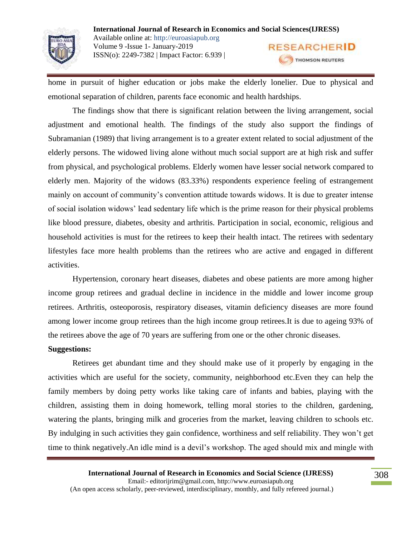

home in pursuit of higher education or jobs make the elderly lonelier. Due to physical and emotional separation of children, parents face economic and health hardships.

The findings show that there is significant relation between the living arrangement, social adjustment and emotional health. The findings of the study also support the findings of Subramanian (1989) that living arrangement is to a greater extent related to social adjustment of the elderly persons. The widowed living alone without much social support are at high risk and suffer from physical, and psychological problems. Elderly women have lesser social network compared to elderly men. Majority of the widows (83.33%) respondents experience feeling of estrangement mainly on account of community's convention attitude towards widows. It is due to greater intense of social isolation widows' lead sedentary life which is the prime reason for their physical problems like blood pressure, diabetes, obesity and arthritis. Participation in social, economic, religious and household activities is must for the retirees to keep their health intact. The retirees with sedentary lifestyles face more health problems than the retirees who are active and engaged in different activities.

Hypertension, coronary heart diseases, diabetes and obese patients are more among higher income group retirees and gradual decline in incidence in the middle and lower income group retirees. Arthritis, osteoporosis, respiratory diseases, vitamin deficiency diseases are more found among lower income group retirees than the high income group retirees.It is due to ageing 93% of the retirees above the age of 70 years are suffering from one or the other chronic diseases.

#### **Suggestions:**

Retirees get abundant time and they should make use of it properly by engaging in the activities which are useful for the society, community, neighborhood etc.Even they can help the family members by doing petty works like taking care of infants and babies, playing with the children, assisting them in doing homework, telling moral stories to the children, gardening, watering the plants, bringing milk and groceries from the market, leaving children to schools etc. By indulging in such activities they gain confidence, worthiness and self reliability. They won't get time to think negatively.An idle mind is a devil's workshop. The aged should mix and mingle with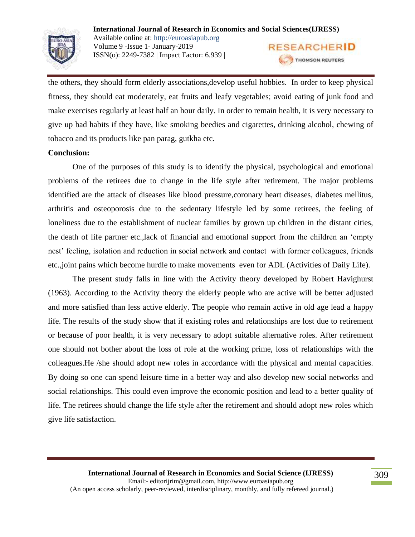

the others, they should form elderly associations,develop useful hobbies. In order to keep physical fitness, they should eat moderately, eat fruits and leafy vegetables; avoid eating of junk food and make exercises regularly at least half an hour daily. In order to remain health, it is very necessary to give up bad habits if they have, like smoking beedies and cigarettes, drinking alcohol, chewing of tobacco and its products like pan parag, gutkha etc.

### **Conclusion:**

One of the purposes of this study is to identify the physical, psychological and emotional problems of the retirees due to change in the life style after retirement. The major problems identified are the attack of diseases like blood pressure,coronary heart diseases, diabetes mellitus, arthritis and osteoporosis due to the sedentary lifestyle led by some retirees, the feeling of loneliness due to the establishment of nuclear families by grown up children in the distant cities, the death of life partner etc.,lack of financial and emotional support from the children an 'empty nest' feeling, isolation and reduction in social network and contact with former colleagues, friends etc.,joint pains which become hurdle to make movements even for ADL (Activities of Daily Life).

The present study falls in line with the Activity theory developed by Robert Havighurst (1963). According to the Activity theory the elderly people who are active will be better adjusted and more satisfied than less active elderly. The people who remain active in old age lead a happy life. The results of the study show that if existing roles and relationships are lost due to retirement or because of poor health, it is very necessary to adopt suitable alternative roles. After retirement one should not bother about the loss of role at the working prime, loss of relationships with the colleagues.He /she should adopt new roles in accordance with the physical and mental capacities. By doing so one can spend leisure time in a better way and also develop new social networks and social relationships. This could even improve the economic position and lead to a better quality of life. The retirees should change the life style after the retirement and should adopt new roles which give life satisfaction.